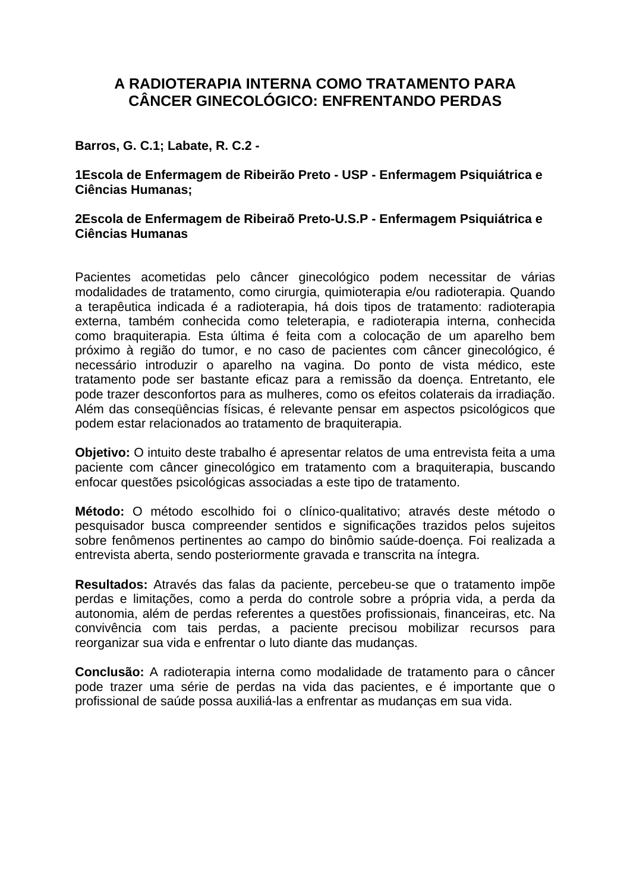# **A RADIOTERAPIA INTERNA COMO TRATAMENTO PARA CÂNCER GINECOLÓGICO: ENFRENTANDO PERDAS**

### **Barros, G. C.1; Labate, R. C.2 -**

**1Escola de Enfermagem de Ribeirão Preto - USP - Enfermagem Psiquiátrica e Ciências Humanas;** 

#### **2Escola de Enfermagem de Ribeiraõ Preto-U.S.P - Enfermagem Psiquiátrica e Ciências Humanas**

Pacientes acometidas pelo câncer ginecológico podem necessitar de várias modalidades de tratamento, como cirurgia, quimioterapia e/ou radioterapia. Quando a terapêutica indicada é a radioterapia, há dois tipos de tratamento: radioterapia externa, também conhecida como teleterapia, e radioterapia interna, conhecida como braquiterapia. Esta última é feita com a colocação de um aparelho bem próximo à região do tumor, e no caso de pacientes com câncer ginecológico, é necessário introduzir o aparelho na vagina. Do ponto de vista médico, este tratamento pode ser bastante eficaz para a remissão da doença. Entretanto, ele pode trazer desconfortos para as mulheres, como os efeitos colaterais da irradiação. Além das conseqüências físicas, é relevante pensar em aspectos psicológicos que podem estar relacionados ao tratamento de braquiterapia.

**Objetivo:** O intuito deste trabalho é apresentar relatos de uma entrevista feita a uma paciente com câncer ginecológico em tratamento com a braquiterapia, buscando enfocar questões psicológicas associadas a este tipo de tratamento.

**Método:** O método escolhido foi o clínico-qualitativo; através deste método o pesquisador busca compreender sentidos e significações trazidos pelos sujeitos sobre fenômenos pertinentes ao campo do binômio saúde-doença. Foi realizada a entrevista aberta, sendo posteriormente gravada e transcrita na íntegra.

**Resultados:** Através das falas da paciente, percebeu-se que o tratamento impõe perdas e limitações, como a perda do controle sobre a própria vida, a perda da autonomia, além de perdas referentes a questões profissionais, financeiras, etc. Na convivência com tais perdas, a paciente precisou mobilizar recursos para reorganizar sua vida e enfrentar o luto diante das mudanças.

**Conclusão:** A radioterapia interna como modalidade de tratamento para o câncer pode trazer uma série de perdas na vida das pacientes, e é importante que o profissional de saúde possa auxiliá-las a enfrentar as mudanças em sua vida.